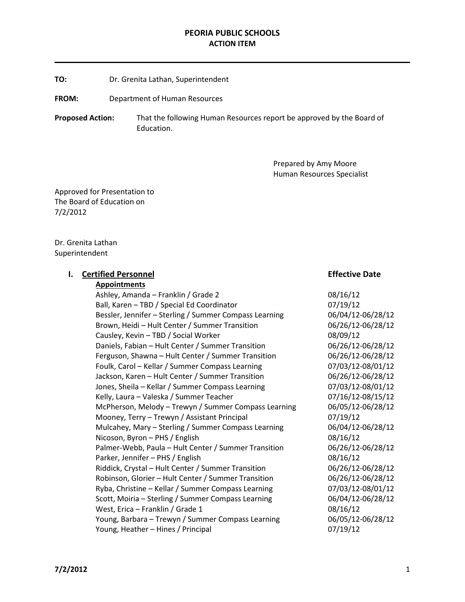#### PEORIA PUBLIC SCHOOLS ACTION ITEM

TO: Dr. Grenita Lathan, Superintendent

FROM: Department of Human Resources

Proposed Action: That the following Human Resources report be approved by the Board of Education.

> Prepared by Amy Moore Human Resources Specialist

Approved for Presentation to The Board of Education on 7/2/2012

Dr. Grenita Lathan Superintendent

#### **I.** Certified Personnel **Effective Date**

Appointments Ashley, Amanda – Franklin / Grade 2 08/16/12 Ball, Karen – TBD / Special Ed Coordinator 07/19/12 Bessler, Jennifer – Sterling / Summer Compass Learning 06/04/12-06/28/12 Brown, Heidi – Hult Center / Summer Transition 06/26/12-06/28/12 Causley, Kevin – TBD / Social Worker 08/09/12 Daniels, Fabian – Hult Center / Summer Transition 06/26/12-06/28/12 Ferguson, Shawna – Hult Center / Summer Transition 06/26/12-06/28/12 Foulk, Carol – Kellar / Summer Compass Learning 07/03/12-08/01/12 Jackson, Karen – Hult Center / Summer Transition 06/26/12-06/28/12 Jones, Sheila – Kellar / Summer Compass Learning 07/03/12-08/01/12 Kelly, Laura – Valeska / Summer Teacher 1997 1997 1998/16/12-08/15/12 McPherson, Melody – Trewyn / Summer Compass Learning 06/05/12-06/28/12 Mooney, Terry – Trewyn / Assistant Principal 07/19/12 Mulcahey, Mary – Sterling / Summer Compass Learning 06/04/12-06/28/12 Nicoson, Byron – PHS / English 08/16/12 Palmer-Webb, Paula – Hult Center / Summer Transition 06/26/12-06/28/12 Parker, Jennifer – PHS / English 08/16/12 Riddick, Crystal – Hult Center / Summer Transition 06/26/12-06/28/12 Robinson, Glorier – Hult Center / Summer Transition 06/26/12-06/28/12 Ryba, Christine – Kellar / Summer Compass Learning 07/03/12-08/01/12 Scott, Moiria – Sterling / Summer Compass Learning 06/04/12-06/28/12 West, Erica – Franklin / Grade 1 08/16/12 Young, Barbara – Trewyn / Summer Compass Learning 06/05/12-06/28/12 Young, Heather – Hines / Principal 07/19/12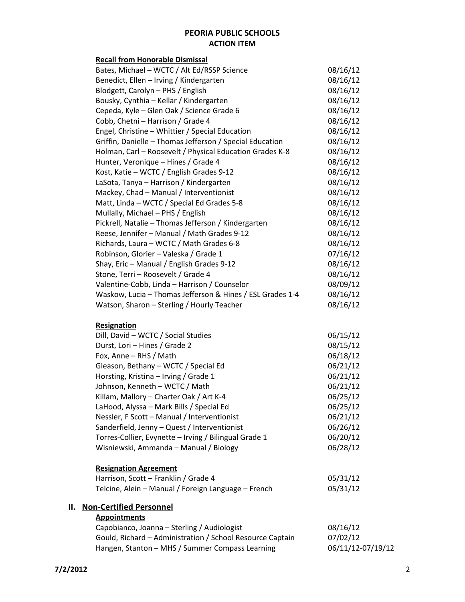## PEORIA PUBLIC SCHOOLS ACTION ITEM

| <b>Recall from Honorable Dismissal</b>                    |          |
|-----------------------------------------------------------|----------|
| Bates, Michael - WCTC / Alt Ed/RSSP Science               | 08/16/12 |
| Benedict, Ellen - Irving / Kindergarten                   | 08/16/12 |
| Blodgett, Carolyn - PHS / English                         | 08/16/12 |
| Bousky, Cynthia - Kellar / Kindergarten                   | 08/16/12 |
| Cepeda, Kyle - Glen Oak / Science Grade 6                 | 08/16/12 |
| Cobb, Chetni - Harrison / Grade 4                         | 08/16/12 |
| Engel, Christine - Whittier / Special Education           | 08/16/12 |
| Griffin, Danielle - Thomas Jefferson / Special Education  | 08/16/12 |
| Holman, Carl - Roosevelt / Physical Education Grades K-8  | 08/16/12 |
| Hunter, Veronique - Hines / Grade 4                       | 08/16/12 |
| Kost, Katie - WCTC / English Grades 9-12                  | 08/16/12 |
| LaSota, Tanya - Harrison / Kindergarten                   | 08/16/12 |
| Mackey, Chad - Manual / Interventionist                   | 08/16/12 |
| Matt, Linda - WCTC / Special Ed Grades 5-8                | 08/16/12 |
| Mullally, Michael - PHS / English                         | 08/16/12 |
| Pickrell, Natalie - Thomas Jefferson / Kindergarten       | 08/16/12 |
| Reese, Jennifer - Manual / Math Grades 9-12               | 08/16/12 |
| Richards, Laura - WCTC / Math Grades 6-8                  | 08/16/12 |
| Robinson, Glorier - Valeska / Grade 1                     | 07/16/12 |
| Shay, Eric - Manual / English Grades 9-12                 | 08/16/12 |
| Stone, Terri - Roosevelt / Grade 4                        | 08/16/12 |
| Valentine-Cobb, Linda - Harrison / Counselor              | 08/09/12 |
| Waskow, Lucia - Thomas Jefferson & Hines / ESL Grades 1-4 | 08/16/12 |
| Watson, Sharon - Sterling / Hourly Teacher                | 08/16/12 |
| <b>Resignation</b>                                        |          |
| Dill, David - WCTC / Social Studies                       | 06/15/12 |
| Durst, Lori - Hines / Grade 2                             | 08/15/12 |
| Fox, Anne - RHS / Math                                    | 06/18/12 |
| Gleason, Bethany - WCTC / Special Ed                      | 06/21/12 |
| Horsting, Kristina - Irving / Grade 1                     | 06/21/12 |
| Johnson, Kenneth - WCTC / Math                            | 06/21/12 |
| Killam, Mallory - Charter Oak / Art K-4                   | 06/25/12 |
| LaHood, Alyssa - Mark Bills / Special Ed                  | 06/25/12 |
| Nessler, F Scott - Manual / Interventionist               | 06/21/12 |
| Sanderfield, Jenny - Quest / Interventionist              | 06/26/12 |
| Torres-Collier, Evynette - Irving / Bilingual Grade 1     | 06/20/12 |
| Wisniewski, Ammanda - Manual / Biology                    | 06/28/12 |
| <b>Resignation Agreement</b>                              |          |
| Harrison, Scott - Franklin / Grade 4                      | 05/31/12 |
| Telcine, Alein - Manual / Foreign Language - French       | 05/31/12 |

# II. Non-Certified Personnel

| <b>Appointments</b> |
|---------------------|
|---------------------|

| Capobianco, Joanna – Sterling / Audiologist               | 08/16/12          |
|-----------------------------------------------------------|-------------------|
| Gould, Richard – Administration / School Resource Captain | 07/02/12          |
| Hangen, Stanton – MHS / Summer Compass Learning           | 06/11/12-07/19/12 |